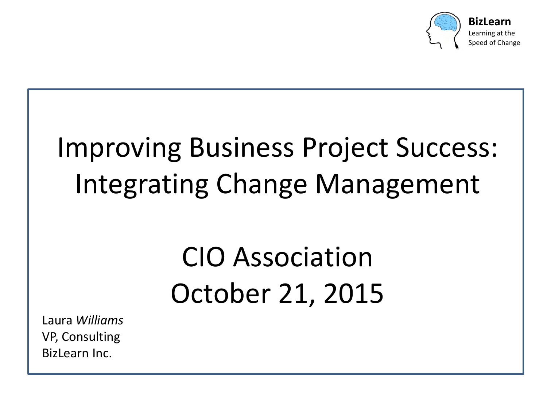

# Improving Business Project Success: Integrating Change Management

## CIO Association October 21, 2015

Laura *Williams* VP, Consulting BizLearn Inc.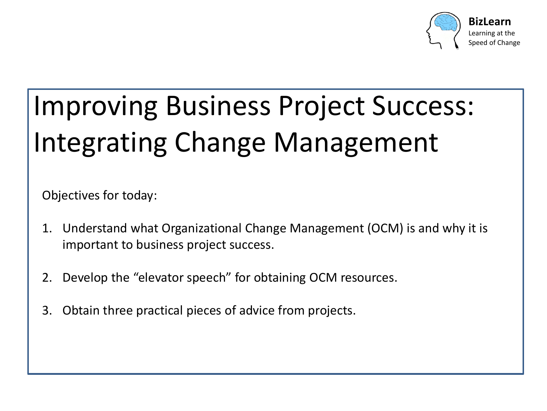

# Improving Business Project Success: Integrating Change Management

Objectives for today:

- 1. Understand what Organizational Change Management (OCM) is and why it is important to business project success.
- 2. Develop the "elevator speech" for obtaining OCM resources.
- 3. Obtain three practical pieces of advice from projects.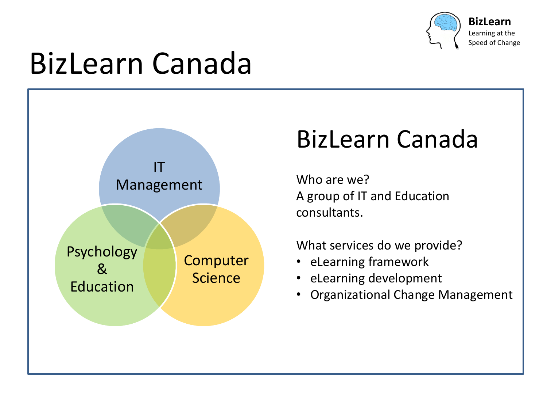

# BizLearn Canada



#### BizLearn Canada

Who are we? A group of IT and Education consultants.

What services do we provide?

- eLearning framework
- eLearning development
- Organizational Change Management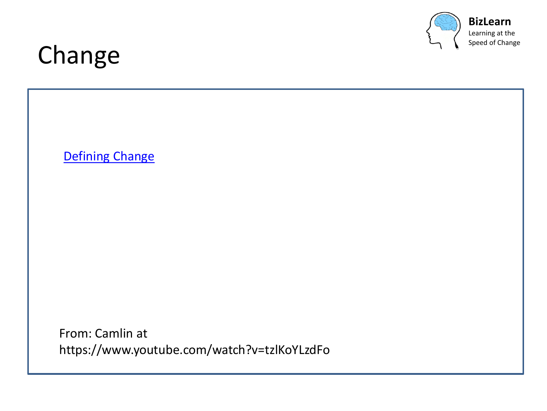

Speed of Change

#### Change

[Defining Change](https://www.youtube.com/watch?v=tzlKoYLzdFo)

From: Camlin at https://www.youtube.com/watch?v=tzlKoYLzdFo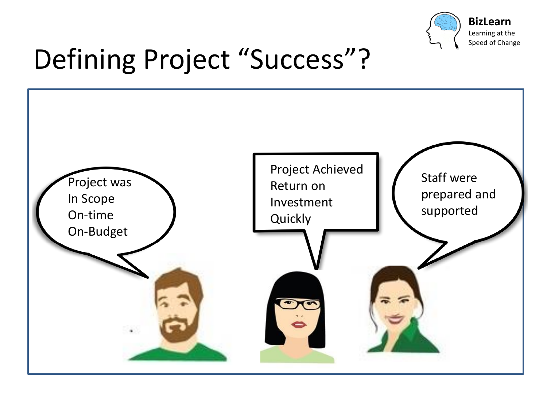

# Defining Project "Success"?

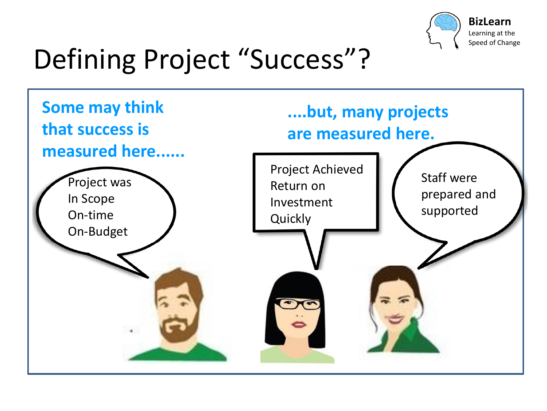

# Defining Project "Success"?

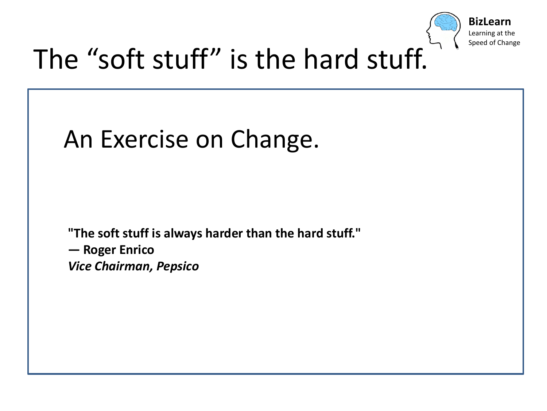

### The "soft stuff" is the hard stuff.



**"The soft stuff is always harder than the hard stuff."**

**— Roger Enrico** *Vice Chairman, Pepsico*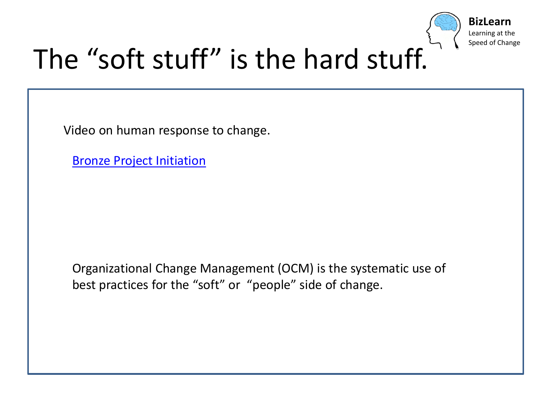

### The "soft stuff" is the hard stuff.

Video on human response to change.

[Bronze Project Initiation](https://www.youtube.com/watch?v=XTLyXamRvk4)

Organizational Change Management (OCM) is the systematic use of best practices for the "soft" or "people" side of change.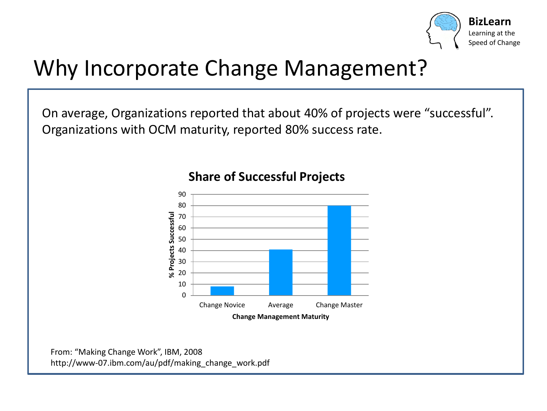

#### Why Incorporate Change Management?

On average, Organizations reported that about 40% of projects were "successful". Organizations with OCM maturity, reported 80% success rate.



#### **Share of Successful Projects**

From: "Making Change Work", IBM, 2008 http://www-07.ibm.com/au/pdf/making\_change\_work.pdf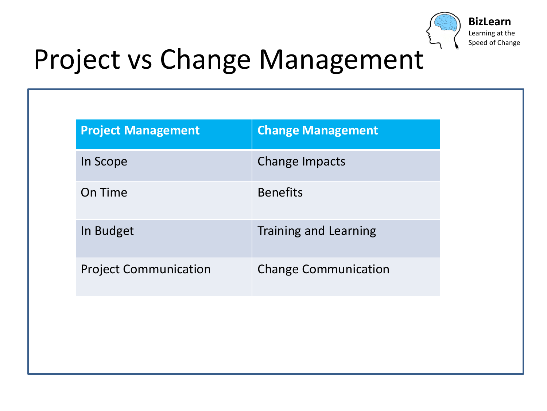

### Project vs Change Management

| <b>Project Management</b>    | <b>Change Management</b>     |
|------------------------------|------------------------------|
| In Scope                     | Change Impacts               |
| On Time                      | <b>Benefits</b>              |
| In Budget                    | <b>Training and Learning</b> |
| <b>Project Communication</b> | <b>Change Communication</b>  |
|                              |                              |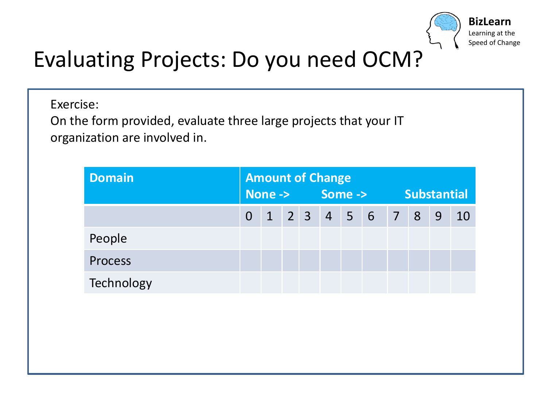

#### Evaluating Projects: Do you need OCM?

Exercise:

On the form provided, evaluate three large projects that your IT organization are involved in.

| <b>Domain</b>  | <b>Amount of Change</b> |  |  |  |  |  |                   |                    |                |   |     |  |  |
|----------------|-------------------------|--|--|--|--|--|-------------------|--------------------|----------------|---|-----|--|--|
|                | None -> Some ->         |  |  |  |  |  |                   | <b>Substantial</b> |                |   |     |  |  |
|                |                         |  |  |  |  |  | $0$ 1 2 3 4 5 6 7 |                    | 8 <sup>°</sup> | 9 | -10 |  |  |
| People         |                         |  |  |  |  |  |                   |                    |                |   |     |  |  |
| <b>Process</b> |                         |  |  |  |  |  |                   |                    |                |   |     |  |  |
| Technology     |                         |  |  |  |  |  |                   |                    |                |   |     |  |  |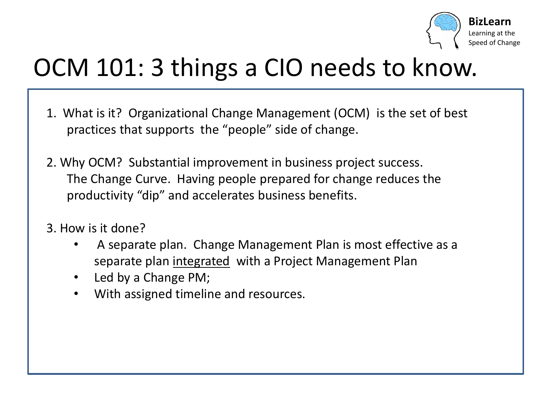

#### OCM 101: 3 things a CIO needs to know.

- 1. What is it? Organizational Change Management (OCM) is the set of best practices that supports the "people" side of change.
- 2. Why OCM? Substantial improvement in business project success. The Change Curve. Having people prepared for change reduces the productivity "dip" and accelerates business benefits.
- 3. How is it done?
	- A separate plan. Change Management Plan is most effective as a separate plan integrated with a Project Management Plan
	- Led by a Change PM;
	- With assigned timeline and resources.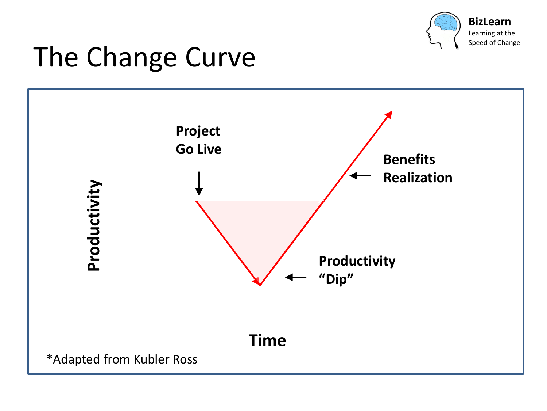

### The Change Curve

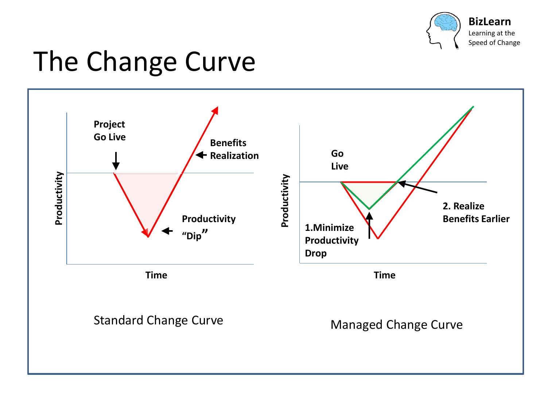

**BizLearn**

Learning at the Speed of Change

### The Change Curve

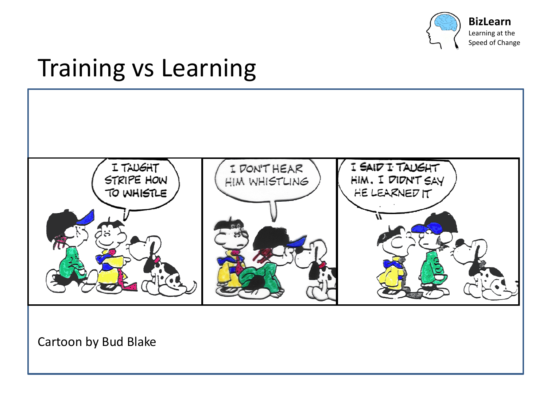

**BizLearn** Learning at the

Speed of Change

#### Training vs Learning

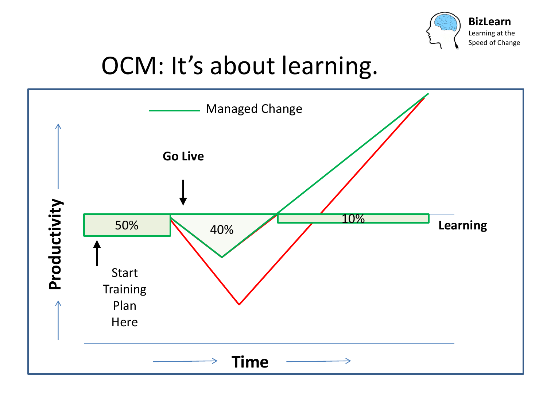

#### OCM: It's about learning.

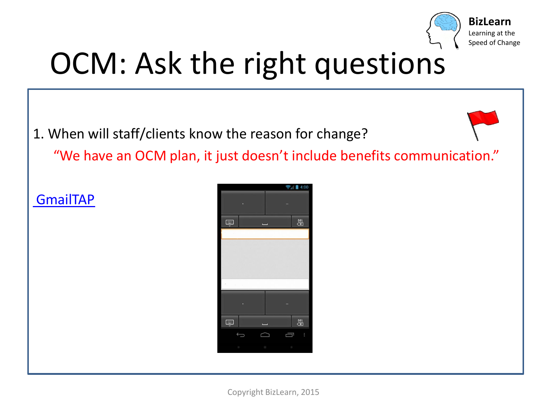

# OCM: Ask the right questions

1. When will staff/clients know the reason for change?

"We have an OCM plan, it just doesn't include benefits communication."

**[GmailTAP](https://www.youtube.com/watch?v=1KhZKNZO8mQ&index=4&list=PL9HrZY6iC2z3gqeAJ5_mnUAw1co-3hn8Q)** 

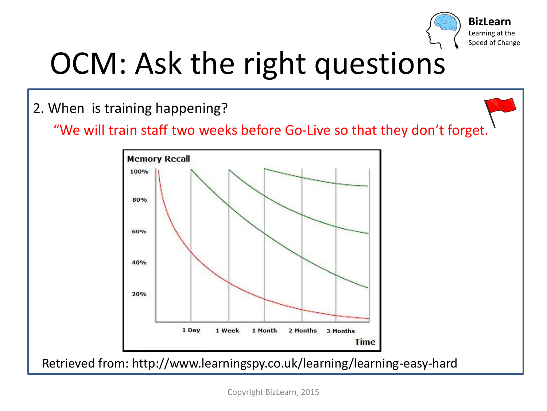

# OCM: Ask the right questions

2. When is training happening?

"We will train staff two weeks before Go-Live so that they don't forget.



Retrieved from: http://www.learningspy.co.uk/learning/learning-easy-hard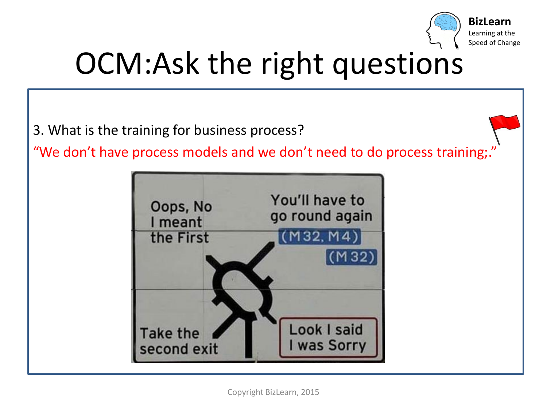

# OCM:Ask the right questions

3. What is the training for business process?

"We don't have process models and we don't need to do process training;.

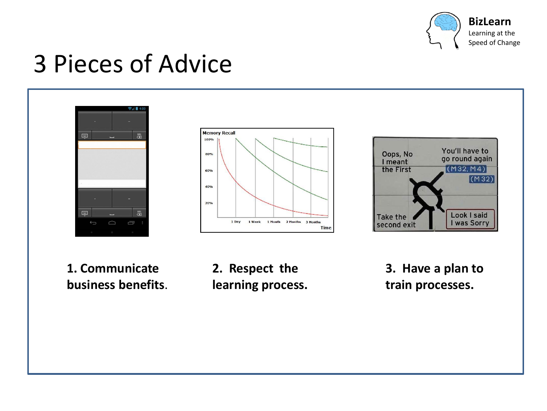

**BizLearn**

Learning at the Speed of Change

### 3 Pieces of Advice







**1. Communicate business benefits**. **2. Respect the learning process.** 

**3. Have a plan to train processes.**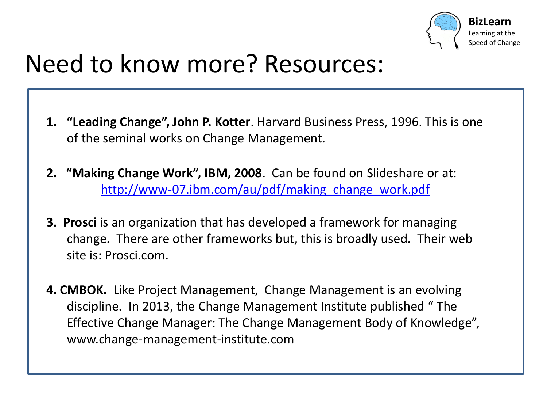

#### Need to know more? Resources:

- **1. "Leading Change", John P. Kotter**. Harvard Business Press, 1996. This is one of the seminal works on Change Management.
- **2. "Making Change Work", IBM, 2008**. Can be found on Slideshare or at: [http://www-07.ibm.com/au/pdf/making\\_change\\_work.pdf](http://www-07.ibm.com/au/pdf/making_change_work.pdf)
- **3. Prosci** is an organization that has developed a framework for managing change. There are other frameworks but, this is broadly used. Their web site is: Prosci.com.
- **4. CMBOK.** Like Project Management, Change Management is an evolving discipline. In 2013, the Change Management Institute published " The Effective Change Manager: The Change Management Body of Knowledge", www.change-management-institute.com